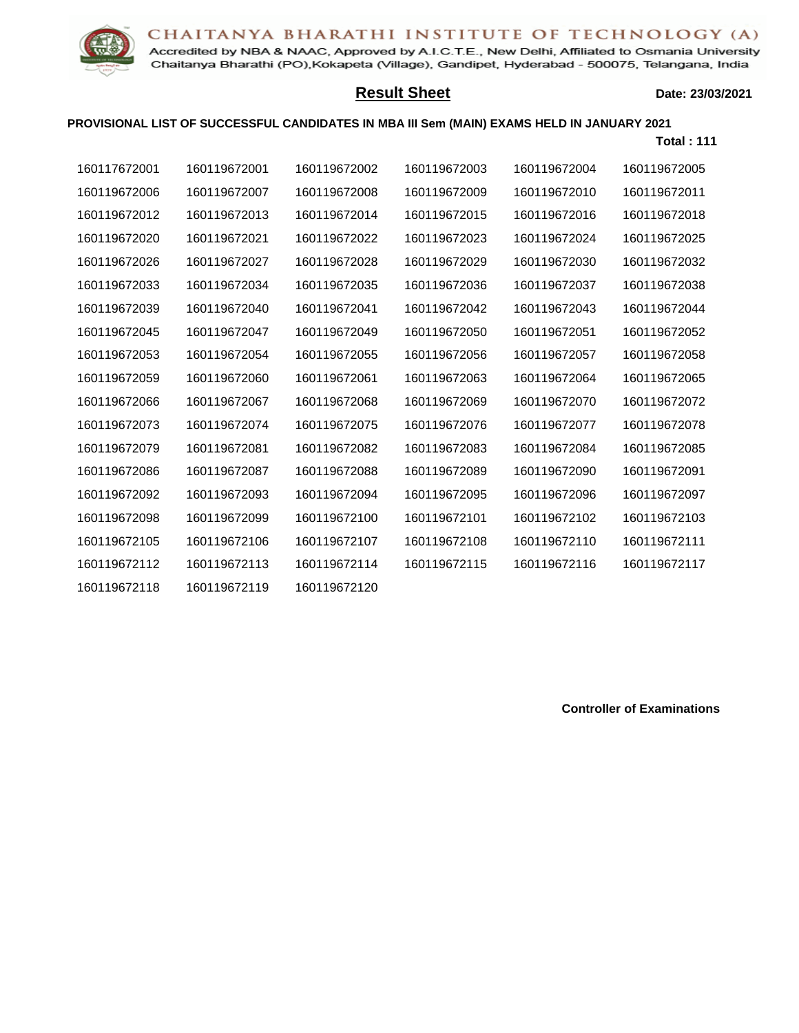## CHAITANYA BHARATHI INSTITUTE OF TECHNOLOGY (A)



Accredited by NBA & NAAC, Approved by A.I.C.T.E., New Delhi, Affiliated to Osmania University Chaitanya Bharathi (PO), Kokapeta (Village), Gandipet, Hyderabad - 500075, Telangana, India

## **Result Sheet**

## **Date: 23/03/2021**

## **PROVISIONAL LIST OF SUCCESSFUL CANDIDATES IN MBA III Sem (MAIN) EXAMS HELD IN JANUARY 2021**

|              |              |              |              |              | <b>Total: 111</b> |
|--------------|--------------|--------------|--------------|--------------|-------------------|
| 160117672001 | 160119672001 | 160119672002 | 160119672003 | 160119672004 | 160119672005      |
| 160119672006 | 160119672007 | 160119672008 | 160119672009 | 160119672010 | 160119672011      |
| 160119672012 | 160119672013 | 160119672014 | 160119672015 | 160119672016 | 160119672018      |
| 160119672020 | 160119672021 | 160119672022 | 160119672023 | 160119672024 | 160119672025      |
| 160119672026 | 160119672027 | 160119672028 | 160119672029 | 160119672030 | 160119672032      |
| 160119672033 | 160119672034 | 160119672035 | 160119672036 | 160119672037 | 160119672038      |
| 160119672039 | 160119672040 | 160119672041 | 160119672042 | 160119672043 | 160119672044      |
| 160119672045 | 160119672047 | 160119672049 | 160119672050 | 160119672051 | 160119672052      |
| 160119672053 | 160119672054 | 160119672055 | 160119672056 | 160119672057 | 160119672058      |
| 160119672059 | 160119672060 | 160119672061 | 160119672063 | 160119672064 | 160119672065      |
| 160119672066 | 160119672067 | 160119672068 | 160119672069 | 160119672070 | 160119672072      |
| 160119672073 | 160119672074 | 160119672075 | 160119672076 | 160119672077 | 160119672078      |
| 160119672079 | 160119672081 | 160119672082 | 160119672083 | 160119672084 | 160119672085      |
| 160119672086 | 160119672087 | 160119672088 | 160119672089 | 160119672090 | 160119672091      |
| 160119672092 | 160119672093 | 160119672094 | 160119672095 | 160119672096 | 160119672097      |
| 160119672098 | 160119672099 | 160119672100 | 160119672101 | 160119672102 | 160119672103      |
| 160119672105 | 160119672106 | 160119672107 | 160119672108 | 160119672110 | 160119672111      |
| 160119672112 | 160119672113 | 160119672114 | 160119672115 | 160119672116 | 160119672117      |
| 160119672118 | 160119672119 | 160119672120 |              |              |                   |

**Controller of Examinations**